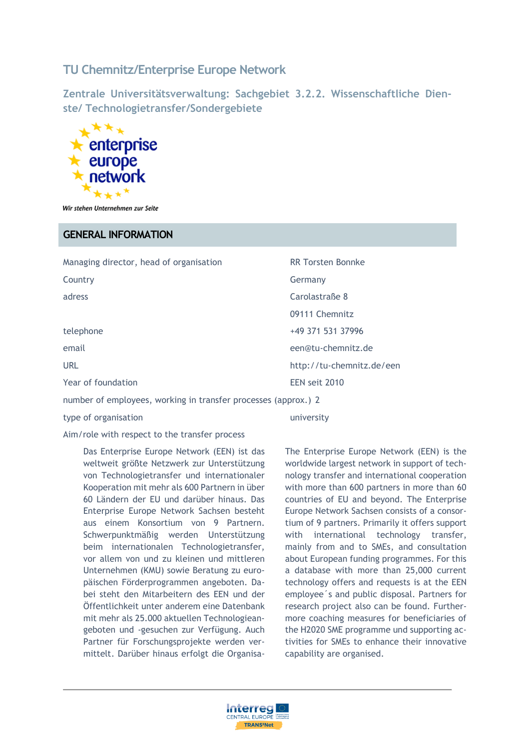# **TU Chemnitz/Enterprise Europe Network**

**Zentrale Universitätsverwaltung: Sachgebiet 3.2.2. Wissenschaftliche Dienste/ Technologietransfer/Sondergebiete**



Wir stehen Unternehmen zur Seite

#### **GENERAL INFORMATION**

| Managing director, head of organisation                        | <b>RR Torsten Bonnke</b>  |
|----------------------------------------------------------------|---------------------------|
| Country                                                        | Germany                   |
| adress                                                         | Carolastraße 8            |
|                                                                | 09111 Chemnitz            |
| telephone                                                      | +49 371 531 37996         |
| email                                                          | een@tu-chemnitz.de        |
| <b>URL</b>                                                     | http://tu-chemnitz.de/een |
| Year of foundation                                             | EEN seit 2010             |
| number of employees, working in transfer processes (approx.) 2 |                           |

type of organisation and the state of organisation and the state of the university

Aim/role with respect to the transfer process

Das Enterprise Europe Network (EEN) ist das weltweit größte Netzwerk zur Unterstützung von Technologietransfer und internationaler Kooperation mit mehr als 600 Partnern in über 60 Ländern der EU und darüber hinaus. Das Enterprise Europe Network Sachsen besteht aus einem Konsortium von 9 Partnern. Schwerpunktmäßig werden Unterstützung beim internationalen Technologietransfer, vor allem von und zu kleinen und mittleren Unternehmen (KMU) sowie Beratung zu europäischen Förderprogrammen angeboten. Dabei steht den Mitarbeitern des EEN und der Öffentlichkeit unter anderem eine Datenbank mit mehr als 25.000 aktuellen Technologieangeboten und -gesuchen zur Verfügung. Auch Partner für Forschungsprojekte werden vermittelt. Darüber hinaus erfolgt die OrganisaThe Enterprise Europe Network (EEN) is the worldwide largest network in support of technology transfer and international cooperation with more than 600 partners in more than 60 countries of EU and beyond. The Enterprise Europe Network Sachsen consists of a consortium of 9 partners. Primarily it offers support with international technology transfer, mainly from and to SMEs, and consultation about European funding programmes. For this a database with more than 25,000 current technology offers and requests is at the EEN employee´s and public disposal. Partners for research project also can be found. Furthermore coaching measures for beneficiaries of the H2020 SME programme und supporting activities for SMEs to enhance their innovative capability are organised.

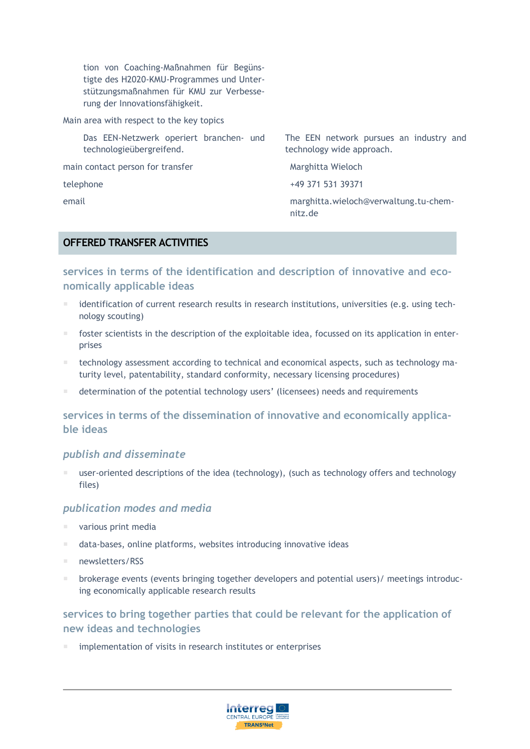tion von Coaching-Maßnahmen für Begünstigte des H2020-KMU-Programmes und Unterstützungsmaßnahmen für KMU zur Verbesserung der Innovationsfähigkeit.

Main area with respect to the key topics

Das EEN-Netzwerk operiert branchen- und technologieübergreifend.

main contact person for transfer Marghitta Wieloch

The EEN network pursues an industry and technology wide approach.

telephone +49 371 531 39371

email marghitta.wieloch@verwaltung.tu-chemnitz.de

#### **OFFERED TRANSFER ACTIVITIES**

### **services in terms of the identification and description of innovative and economically applicable ideas**

- identification of current research results in research institutions, universities (e.g. using technology scouting)
- foster scientists in the description of the exploitable idea, focussed on its application in enterprises
- technology assessment according to technical and economical aspects, such as technology maturity level, patentability, standard conformity, necessary licensing procedures)
- determination of the potential technology users' (licensees) needs and requirements

## **services in terms of the dissemination of innovative and economically applicable ideas**

#### *publish and disseminate*

 user-oriented descriptions of the idea (technology), (such as technology offers and technology files)

#### *publication modes and media*

- various print media
- data-bases, online platforms, websites introducing innovative ideas
- newsletters/RSS
- **E** brokerage events (events bringing together developers and potential users)/ meetings introducing economically applicable research results

### **services to bring together parties that could be relevant for the application of new ideas and technologies**

implementation of visits in research institutes or enterprises

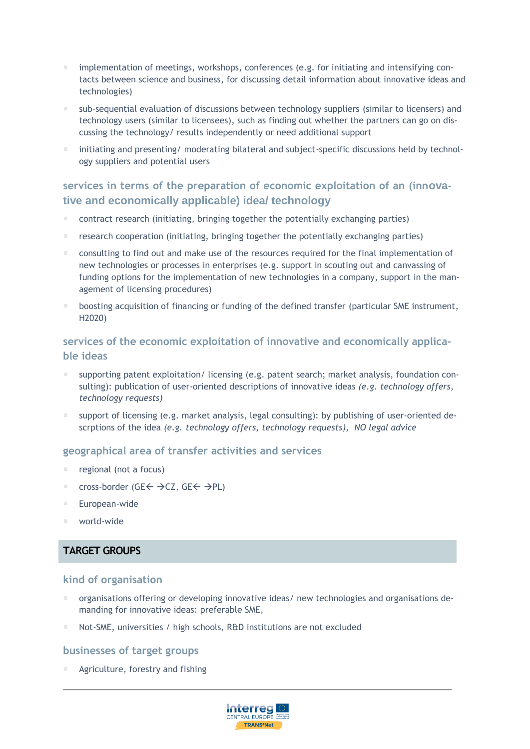- implementation of meetings, workshops, conferences (e.g. for initiating and intensifying contacts between science and business, for discussing detail information about innovative ideas and technologies)
- sub-sequential evaluation of discussions between technology suppliers (similar to licensers) and technology users (similar to licensees), such as finding out whether the partners can go on discussing the technology/ results independently or need additional support
- initiating and presenting/ moderating bilateral and subject-specific discussions held by technology suppliers and potential users

### **services in terms of the preparation of economic exploitation of an (innovative and economically applicable) idea/ technology**

- contract research (initiating, bringing together the potentially exchanging parties)
- research cooperation (initiating, bringing together the potentially exchanging parties)
- consulting to find out and make use of the resources required for the final implementation of new technologies or processes in enterprises (e.g. support in scouting out and canvassing of funding options for the implementation of new technologies in a company, support in the management of licensing procedures)
- boosting acquisition of financing or funding of the defined transfer (particular SME instrument, H2020)

### **services of the economic exploitation of innovative and economically applicable ideas**

- supporting patent exploitation/ licensing (e.g. patent search; market analysis, foundation consulting): publication of user-oriented descriptions of innovative ideas *(e.g. technology offers, technology requests)*
- support of licensing (e.g. market analysis, legal consulting): by publishing of user-oriented descrptions of the idea *(e.g. technology offers, technology requests), NO legal advice*

#### **geographical area of transfer activities and services**

- regional (not a focus)
- cross-border (GE $\leftarrow \rightarrow$ CZ, GE $\leftarrow \rightarrow$ PL)
- European-wide
- world-wide

### **TARGET GROUPS**

#### **kind of organisation**

- organisations offering or developing innovative ideas/ new technologies and organisations demanding for innovative ideas: preferable SME,
- Not-SME, universities / high schools, R&D institutions are not excluded

#### **businesses of target groups**

Agriculture, forestry and fishing